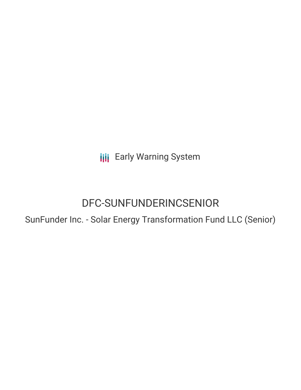**III** Early Warning System

# DFC-SUNFUNDERINCSENIOR

SunFunder Inc. - Solar Energy Transformation Fund LLC (Senior)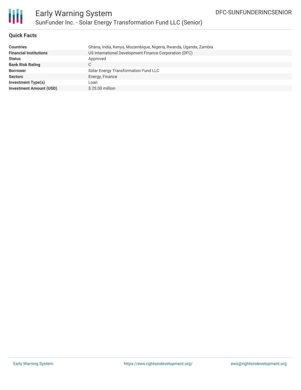

## **Quick Facts**

| Ghana, India, Kenya, Mozambique, Nigeria, Rwanda, Uganda, Zambia |
|------------------------------------------------------------------|
| US International Development Finance Corporation (DFC)           |
| Approved                                                         |
| C                                                                |
| Solar Energy Transformation Fund LLC                             |
| Energy, Finance                                                  |
| Loan                                                             |
| $$25.00$ million                                                 |
|                                                                  |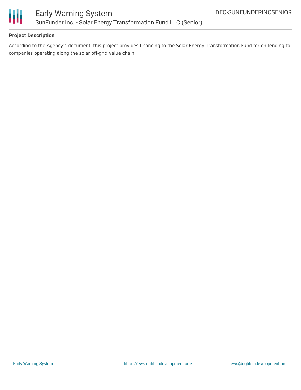

# **Project Description**

According to the Agency's document, this project provides financing to the Solar Energy Transformation Fund for on-lending to companies operating along the solar off-grid value chain.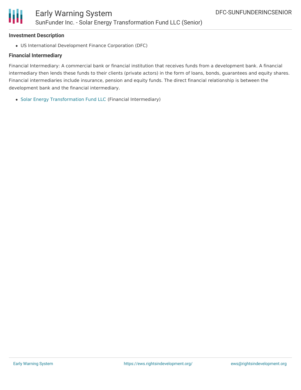#### **Investment Description**

US International Development Finance Corporation (DFC)

# **Financial Intermediary**

Financial Intermediary: A commercial bank or financial institution that receives funds from a development bank. A financial intermediary then lends these funds to their clients (private actors) in the form of loans, bonds, guarantees and equity shares. Financial intermediaries include insurance, pension and equity funds. The direct financial relationship is between the development bank and the financial intermediary.

Solar Energy [Transformation](file:///actor/2244/) Fund LLC (Financial Intermediary)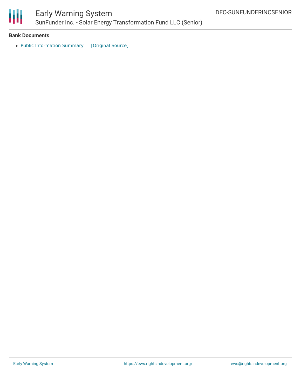

#### **Bank Documents**

• Public [Information](https://ewsdata.rightsindevelopment.org/files/documents/OR/BNDES-SUNFUNDERINCSENIOR.pdf) Summary [\[Original](https://www.opic.gov/sites/default/files/files/9000083002.pdf) Source]